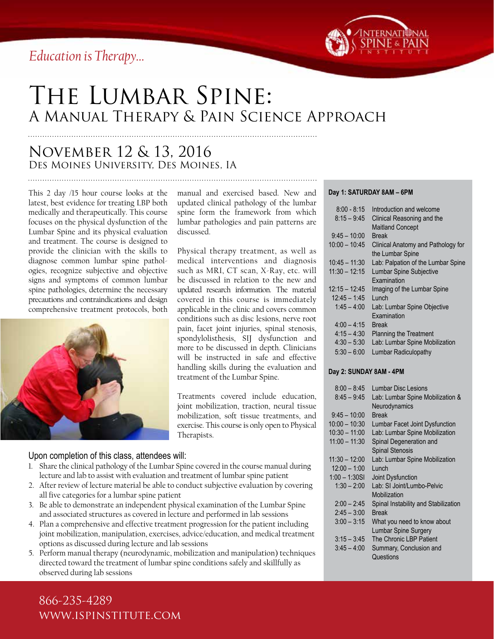*Education is Therapy…*



# The Lumbar Spine: A Manual Therapy & Pain Science Approach

# November 12 & 13, 2016 Des Moines University, Des Moines, IA

This 2 day /15 hour course looks at the latest, best evidence for treating LBP both medically and therapeutically. This course focuses on the physical dysfunction of the Lumbar Spine and its physical evaluation and treatment. The course is designed to provide the clinician with the skills to diagnose common lumbar spine pathologies, recognize subjective and objective signs and symptoms of common lumbar spine pathologies, determine the necessary precautions and contraindications and design comprehensive treatment protocols, both



manual and exercised based. New and updated clinical pathology of the lumbar spine form the framework from which lumbar pathologies and pain patterns are discussed.

Physical therapy treatment, as well as medical interventions and diagnosis such as MRI, CT scan, X-Ray, etc. will be discussed in relation to the new and updated research information. The material covered in this course is immediately applicable in the clinic and covers common conditions such as disc lesions, nerve root pain, facet joint injuries, spinal stenosis, spondylolisthesis, SIJ dysfunction and more to be discussed in depth. Clinicians will be instructed in safe and effective handling skills during the evaluation and treatment of the Lumbar Spine.

Treatments covered include education, joint mobilization, traction, neural tissue mobilization, soft tissue treatments, and exercise. This course is only open to Physical Therapists.

### Upon completion of this class, attendees will:

- 1. Share the clinical pathology of the Lumbar Spine covered in the course manual during lecture and lab to assist with evaluation and treatment of lumbar spine patient
- 2. After review of lecture material be able to conduct subjective evaluation by covering all five categories for a lumbar spine patient
- 3. Be able to demonstrate an independent physical examination of the Lumbar Spine and associated structures as covered in lecture and performed in lab sessions
- 4. Plan a comprehensive and effective treatment progression for the patient including joint mobilization, manipulation, exercises, advice/education, and medical treatment options as discussed during lecture and lab sessions
- 5. Perform manual therapy (neurodynamic, mobilization and manipulation) techniques directed toward the treatment of lumbar spine conditions safely and skillfully as observed during lab sessions

#### **Day 1: SATURDAY 8AM – 6PM**

| $8:00 - 8:15$   | Introduction and welcome                               |
|-----------------|--------------------------------------------------------|
| $8:15 - 9:45$   | Clinical Reasoning and the                             |
|                 | <b>Maitland Concept</b>                                |
| $9:45 - 10:00$  | <b>Rreak</b>                                           |
| $10:00 - 10:45$ | Clinical Anatomy and Pathology for<br>the Lumbar Spine |
| $10:45 - 11:30$ | Lab: Palpation of the Lumbar Spine                     |
| $11:30 - 12:15$ | <b>Lumbar Spine Subjective</b>                         |
|                 | <b>Examination</b>                                     |
| $12:15 - 12:45$ | Imaging of the Lumbar Spine                            |
| $12:45 - 1:45$  | $l$ unch                                               |
| $1:45 - 4:00$   | Lab: Lumbar Spine Objective                            |
|                 | Examination                                            |
| $4:00 - 4:15$   | <b>Break</b>                                           |
| $4:15 - 4:30$   | <b>Planning the Treatment</b>                          |
| $4:30 - 5:30$   | Lab: Lumbar Spine Mobilization                         |
| $5:30 - 6:00$   | Lumbar Radiculopathy                                   |
|                 |                                                        |

#### **Day 2: SUNDAY 8AM - 4PM**

| $8:00 - 8:45$   | Lumbar Disc Lesions                  |
|-----------------|--------------------------------------|
| $8:45 - 9:45$   | Lab: Lumbar Spine Mobilization &     |
|                 | Neurodynamics                        |
| $9:45 - 10:00$  | <b>Break</b>                         |
| $10:00 - 10:30$ | Lumbar Facet Joint Dysfunction       |
| $10:30 - 11:00$ | Lab: Lumbar Spine Mobilization       |
| $11:00 - 11:30$ | Spinal Degeneration and              |
|                 | <b>Spinal Stenosis</b>               |
| $11:30 - 12:00$ | Lab: Lumbar Spine Mobilization       |
| $12:00 - 1:00$  | I unch                               |
| $1:00 - 1:30S$  | Joint Dysfunction                    |
| $1:30 - 2:00$   | Lab: SI Joint/Lumbo-Pelvic           |
|                 | Mobilization                         |
| $2:00 - 2:45$   | Spinal Instability and Stabilization |
| $2:45 - 3:00$   | <b>Break</b>                         |
| $3:00 - 3:15$   | What you need to know about          |
|                 | Lumbar Spine Surgery                 |
| $3:15 - 3:45$   | The Chronic LBP Patient              |
| $3:45 - 4:00$   | Summary, Conclusion and              |
|                 | Questions                            |

866-235-4289 www.ispinstitute.com